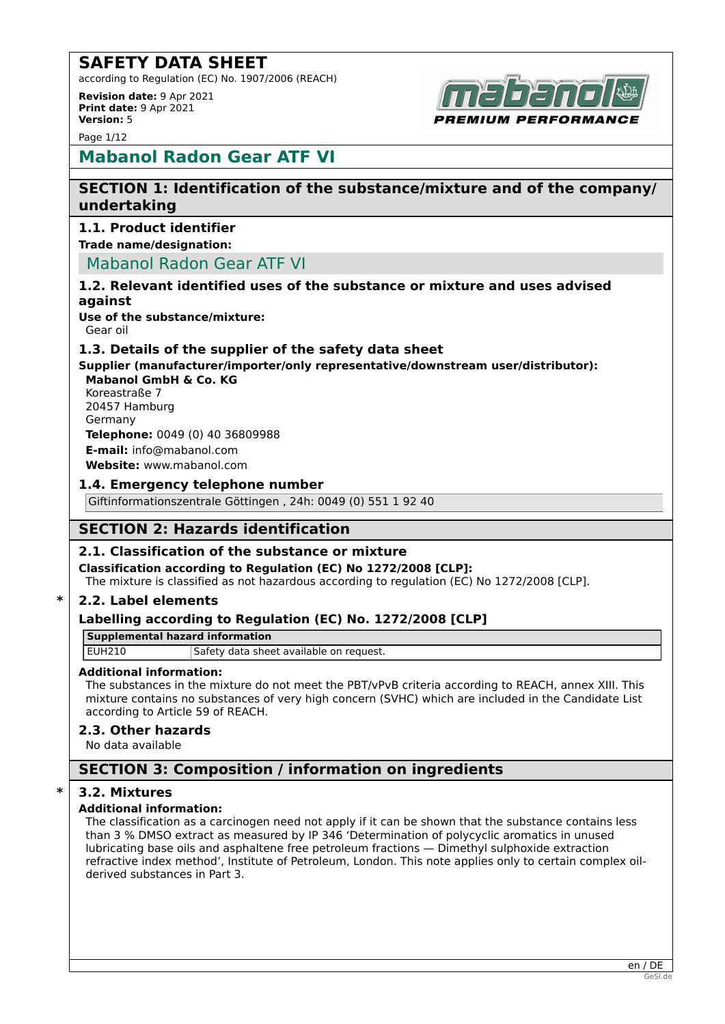according to Regulation (EC) No. 1907/2006 (REACH)

**Revision date:** 9 Apr 2021 **Print date:** 9 Apr 2021 **Version:** 5

Page 1/12



## **Mabanol Radon Gear ATF VI**

## **SECTION 1: Identification of the substance/mixture and of the company/ undertaking**

## **1.1. Product identifier**

**Trade name/designation:**

Mabanol Radon Gear ATF VI

## **1.2. Relevant identified uses of the substance or mixture and uses advised against**

**Use of the substance/mixture:**

Gear oil

## **1.3. Details of the supplier of the safety data sheet**

**Supplier (manufacturer/importer/only representative/downstream user/distributor): Mabanol GmbH & Co. KG**

Koreastraße 7 20457 Hamburg Germany **Telephone:** 0049 (0) 40 36809988

**E-mail:** info@mabanol.com

**Website:** www.mabanol.com

## **1.4. Emergency telephone number**

Giftinformationszentrale Göttingen , 24h: 0049 (0) 551 1 92 40

## **SECTION 2: Hazards identification**

## **2.1. Classification of the substance or mixture**

**Classification according to Regulation (EC) No 1272/2008 [CLP]:**

The mixture is classified as not hazardous according to regulation (EC) No 1272/2008 [CLP].

## **\* 2.2. Label elements**

## **Labelling according to Regulation (EC) No. 1272/2008 [CLP]**

**Supplemental hazard information**

EUH210 Safety data sheet available on request.

## **Additional information:**

The substances in the mixture do not meet the PBT/vPvB criteria according to REACH, annex XIII. This mixture contains no substances of very high concern (SVHC) which are included in the Candidate List according to Article 59 of REACH.

## **2.3. Other hazards**

No data available

## **SECTION 3: Composition / information on ingredients**

## **\* 3.2. Mixtures**

## **Additional information:**

The classification as a carcinogen need not apply if it can be shown that the substance contains less than 3 % DMSO extract as measured by IP 346 'Determination of polycyclic aromatics in unused lubricating base oils and asphaltene free petroleum fractions — Dimethyl sulphoxide extraction refractive index method', Institute of Petroleum, London. This note applies only to certain complex oilderived substances in Part 3.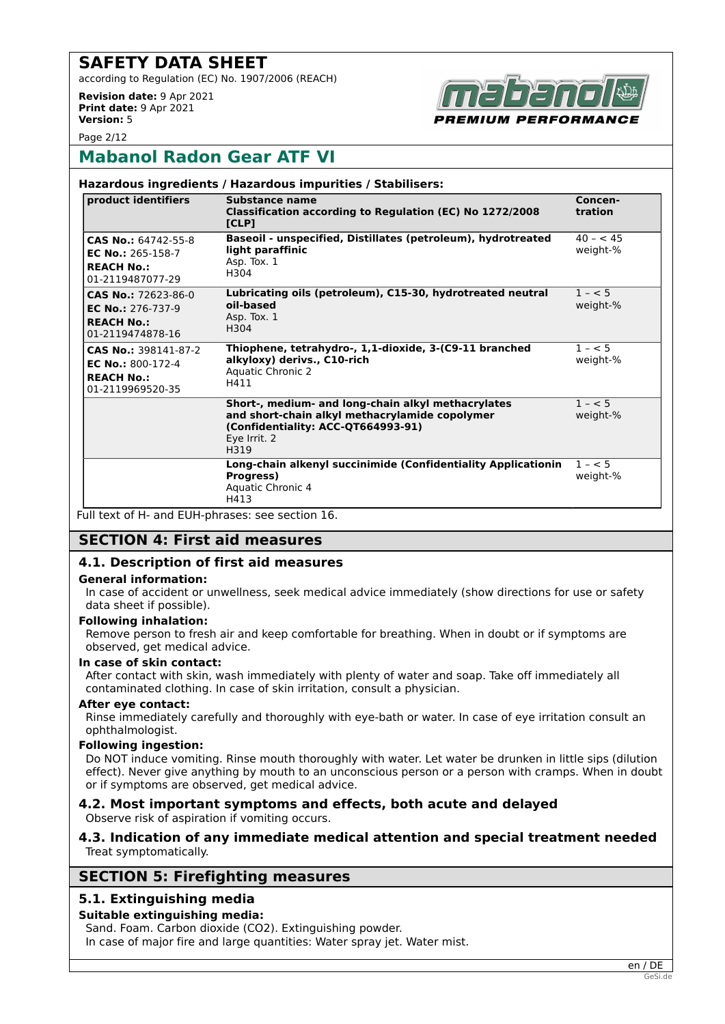according to Regulation (EC) No. 1907/2006 (REACH)

**Revision date:** 9 Apr 2021 **Print date:** 9 Apr 2021 **Version:** 5



Page 2/12

## **Mabanol Radon Gear ATF VI**

| product identifiers                                                                      | Substance name<br>Classification according to Regulation (EC) No 1272/2008<br>[CLP]                                                                                | Concen-<br>tration    |
|------------------------------------------------------------------------------------------|--------------------------------------------------------------------------------------------------------------------------------------------------------------------|-----------------------|
| CAS No.: 64742-55-8<br>EC No.: 265-158-7<br><b>REACH No.:</b><br>01-2119487077-29        | Baseoil - unspecified, Distillates (petroleum), hydrotreated<br>light paraffinic<br>Asp. Tox. 1<br>H304                                                            | $40 - 45$<br>weight-% |
| CAS No.: 72623-86-0<br><b>EC No.: 276-737-9</b><br><b>REACH No.:</b><br>01-2119474878-16 | Lubricating oils (petroleum), C15-30, hydrotreated neutral<br>oil-based<br>Asp. Tox. 1<br>H304                                                                     | $1 - 5$<br>weight-%   |
| CAS No.: 398141-87-2<br>EC No.: $800-172-4$<br><b>REACH No.:</b><br>01-2119969520-35     | Thiophene, tetrahydro-, 1,1-dioxide, 3-(C9-11 branched<br>alkyloxy) derivs., C10-rich<br><b>Aquatic Chronic 2</b><br>H411                                          | $1 - 5$<br>weight-%   |
|                                                                                          | Short-, medium- and long-chain alkyl methacrylates<br>and short-chain alkyl methacrylamide copolymer<br>(Confidentiality: ACC-QT664993-91)<br>Eye Irrit. 2<br>H319 | $1 - 5$<br>weight-%   |
|                                                                                          | Long-chain alkenyl succinimide (Confidentiality Applicationin<br>Progress)<br>Aquatic Chronic 4<br>H413                                                            | $1 - 5$<br>weight-%   |

Full text of H- and EUH-phrases: see section 16.

## **SECTION 4: First aid measures**

## **4.1. Description of first aid measures**

#### **General information:**

In case of accident or unwellness, seek medical advice immediately (show directions for use or safety data sheet if possible).

#### **Following inhalation:**

Remove person to fresh air and keep comfortable for breathing. When in doubt or if symptoms are observed, get medical advice.

#### **In case of skin contact:**

After contact with skin, wash immediately with plenty of water and soap. Take off immediately all contaminated clothing. In case of skin irritation, consult a physician.

#### **After eye contact:**

Rinse immediately carefully and thoroughly with eye-bath or water. In case of eye irritation consult an ophthalmologist.

#### **Following ingestion:**

Do NOT induce vomiting. Rinse mouth thoroughly with water. Let water be drunken in little sips (dilution effect). Never give anything by mouth to an unconscious person or a person with cramps. When in doubt or if symptoms are observed, get medical advice.

#### **4.2. Most important symptoms and effects, both acute and delayed** Observe risk of aspiration if vomiting occurs.

## **4.3. Indication of any immediate medical attention and special treatment needed** Treat symptomatically.

## **SECTION 5: Firefighting measures**

## **5.1. Extinguishing media**

## **Suitable extinguishing media:**

Sand. Foam. Carbon dioxide (CO2). Extinguishing powder. In case of major fire and large quantities: Water spray jet. Water mist.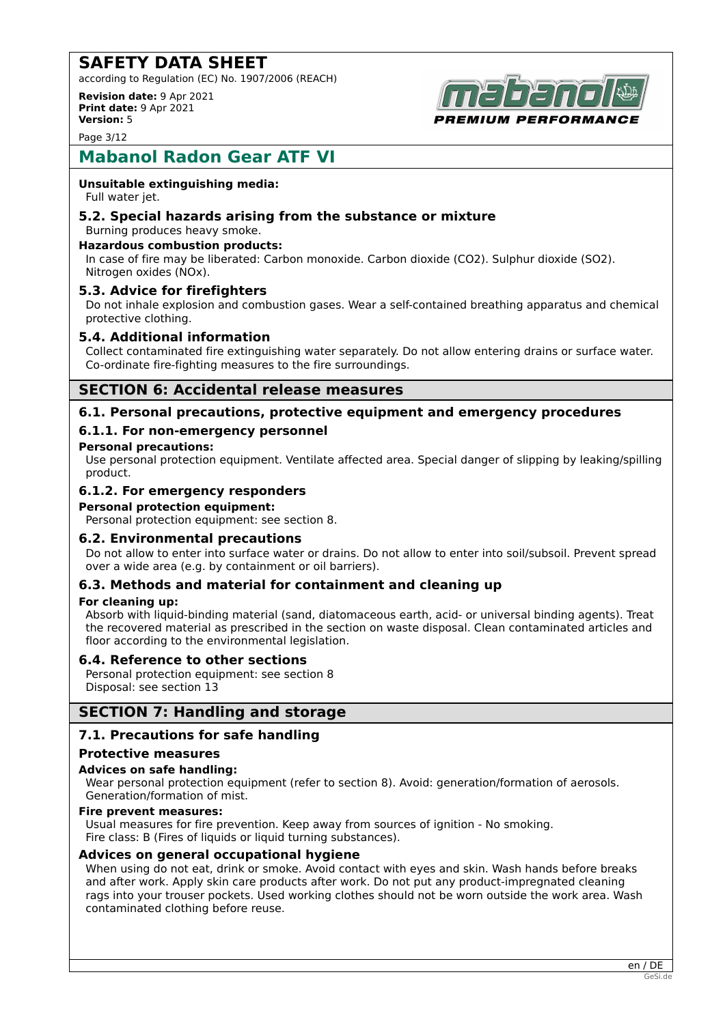according to Regulation (EC) No. 1907/2006 (REACH)

**Revision date:** 9 Apr 2021 **Print date:** 9 Apr 2021 **Version:** 5



Page 3/12

## **Mabanol Radon Gear ATF VI**

## **Unsuitable extinguishing media:**

Full water jet.

#### **5.2. Special hazards arising from the substance or mixture** Burning produces heavy smoke.

#### **Hazardous combustion products:**

In case of fire may be liberated: Carbon monoxide. Carbon dioxide (CO2). Sulphur dioxide (SO2). Nitrogen oxides (NOx).

## **5.3. Advice for firefighters**

Do not inhale explosion and combustion gases. Wear a self-contained breathing apparatus and chemical protective clothing.

## **5.4. Additional information**

Collect contaminated fire extinguishing water separately. Do not allow entering drains or surface water. Co-ordinate fire-fighting measures to the fire surroundings.

## **SECTION 6: Accidental release measures**

## **6.1. Personal precautions, protective equipment and emergency procedures**

## **6.1.1. For non-emergency personnel**

#### **Personal precautions:**

Use personal protection equipment. Ventilate affected area. Special danger of slipping by leaking/spilling product.

## **6.1.2. For emergency responders**

#### **Personal protection equipment:**

Personal protection equipment: see section 8.

## **6.2. Environmental precautions**

Do not allow to enter into surface water or drains. Do not allow to enter into soil/subsoil. Prevent spread over a wide area (e.g. by containment or oil barriers).

## **6.3. Methods and material for containment and cleaning up**

#### **For cleaning up:**

Absorb with liquid-binding material (sand, diatomaceous earth, acid- or universal binding agents). Treat the recovered material as prescribed in the section on waste disposal. Clean contaminated articles and floor according to the environmental legislation.

## **6.4. Reference to other sections**

Personal protection equipment: see section 8 Disposal: see section 13

## **SECTION 7: Handling and storage**

## **7.1. Precautions for safe handling**

#### **Protective measures**

## **Advices on safe handling:**

Wear personal protection equipment (refer to section 8). Avoid: generation/formation of aerosols. Generation/formation of mist.

#### **Fire prevent measures:**

Usual measures for fire prevention. Keep away from sources of ignition - No smoking. Fire class: B (Fires of liquids or liquid turning substances).

## **Advices on general occupational hygiene**

When using do not eat, drink or smoke. Avoid contact with eyes and skin. Wash hands before breaks and after work. Apply skin care products after work. Do not put any product-impregnated cleaning rags into your trouser pockets. Used working clothes should not be worn outside the work area. Wash contaminated clothing before reuse.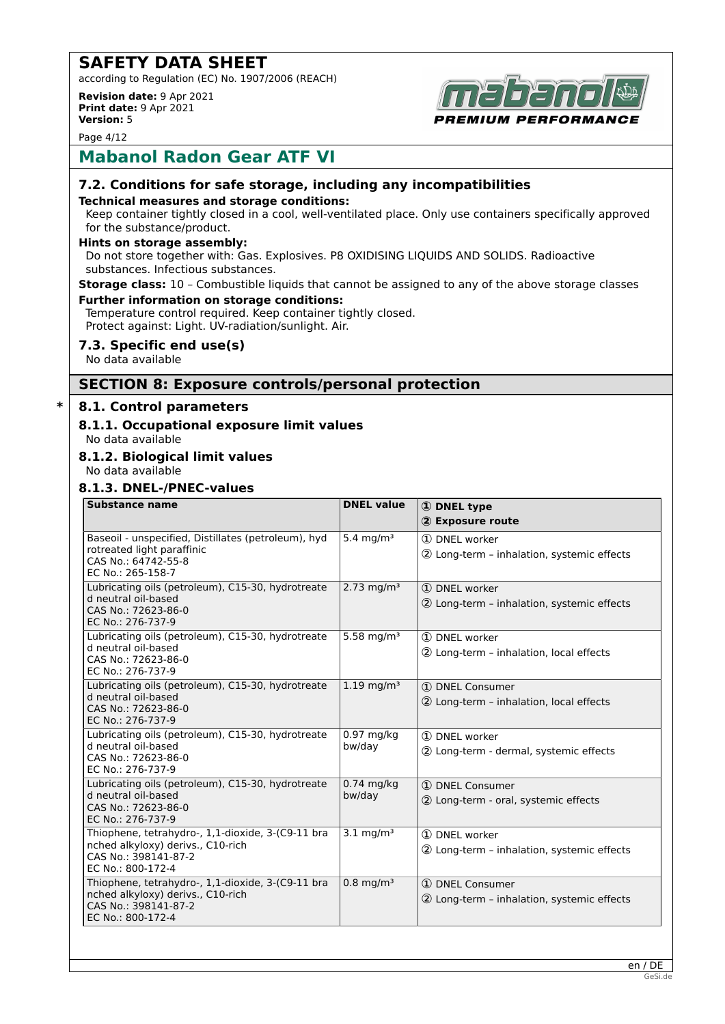according to Regulation (EC) No. 1907/2006 (REACH)

**Revision date:** 9 Apr 2021 **Print date:** 9 Apr 2021 **Version:** 5



Page 4/12

## **Mabanol Radon Gear ATF VI**

## **7.2. Conditions for safe storage, including any incompatibilities**

#### **Technical measures and storage conditions:**

Keep container tightly closed in a cool, well-ventilated place. Only use containers specifically approved for the substance/product.

#### **Hints on storage assembly:**

Do not store together with: Gas. Explosives. P8 OXIDISING LIQUIDS AND SOLIDS. Radioactive substances. Infectious substances.

**Storage class:** 10 – Combustible liquids that cannot be assigned to any of the above storage classes

#### **Further information on storage conditions:**

Temperature control required. Keep container tightly closed. Protect against: Light. UV-radiation/sunlight. Air.

## **7.3. Specific end use(s)**

No data available

## **SECTION 8: Exposure controls/personal protection**

## **\* 8.1. Control parameters**

## **8.1.1. Occupational exposure limit values**

No data available

## **8.1.2. Biological limit values**

No data available

#### **8.1.3. DNEL-/PNEC-values**

| <b>Substance name</b>                                                                                                               | <b>DNEL value</b>      | <b>1</b> DNEL type<br>2 Exposure route                        |
|-------------------------------------------------------------------------------------------------------------------------------------|------------------------|---------------------------------------------------------------|
| Baseoil - unspecified, Distillates (petroleum), hyd<br>rotreated light paraffinic<br>CAS No.: 64742-55-8<br>EC No.: 265-158-7       | 5.4 mg/m <sup>3</sup>  | 1 DNEL worker<br>2 Long-term - inhalation, systemic effects   |
| Lubricating oils (petroleum), C15-30, hydrotreate<br>d neutral oil-based<br>CAS No.: 72623-86-0<br>EC No.: 276-737-9                | 2.73 mg/m <sup>3</sup> | 1 DNEL worker<br>2 Long-term - inhalation, systemic effects   |
| Lubricating oils (petroleum), C15-30, hydrotreate<br>d neutral oil-based<br>CAS No.: 72623-86-0<br>EC No.: 276-737-9                | 5.58 mg/m <sup>3</sup> | 1 DNEL worker<br>2 Long-term - inhalation, local effects      |
| Lubricating oils (petroleum), C15-30, hydrotreate<br>d neutral oil-based<br>CAS No.: 72623-86-0<br>EC No.: 276-737-9                | $1.19 \text{ mg/m}^3$  | 1 DNEL Consumer<br>2 Long-term - inhalation, local effects    |
| Lubricating oils (petroleum), C15-30, hydrotreate<br>d neutral oil-based<br>CAS No.: 72623-86-0<br>EC No.: 276-737-9                | $0.97$ mg/kg<br>bw/day | 1 DNEL worker<br>2 Long-term - dermal, systemic effects       |
| Lubricating oils (petroleum), C15-30, hydrotreate<br>d neutral oil-based<br>CAS No.: 72623-86-0<br>EC No.: 276-737-9                | $0.74$ mg/kg<br>bw/day | 1 DNEL Consumer<br>2 Long-term - oral, systemic effects       |
| Thiophene, tetrahydro-, 1,1-dioxide, 3-(C9-11 bra<br>nched alkyloxy) derivs., C10-rich<br>CAS No.: 398141-87-2<br>EC No.: 800-172-4 | $3.1 \text{ mg/m}^3$   | 1 DNEL worker<br>2 Long-term - inhalation, systemic effects   |
| Thiophene, tetrahydro-, 1,1-dioxide, 3-(C9-11 bra<br>nched alkyloxy) derivs., C10-rich<br>CAS No.: 398141-87-2<br>EC No.: 800-172-4 | $0.8 \text{ mg/m}^3$   | 1 DNEL Consumer<br>2 Long-term - inhalation, systemic effects |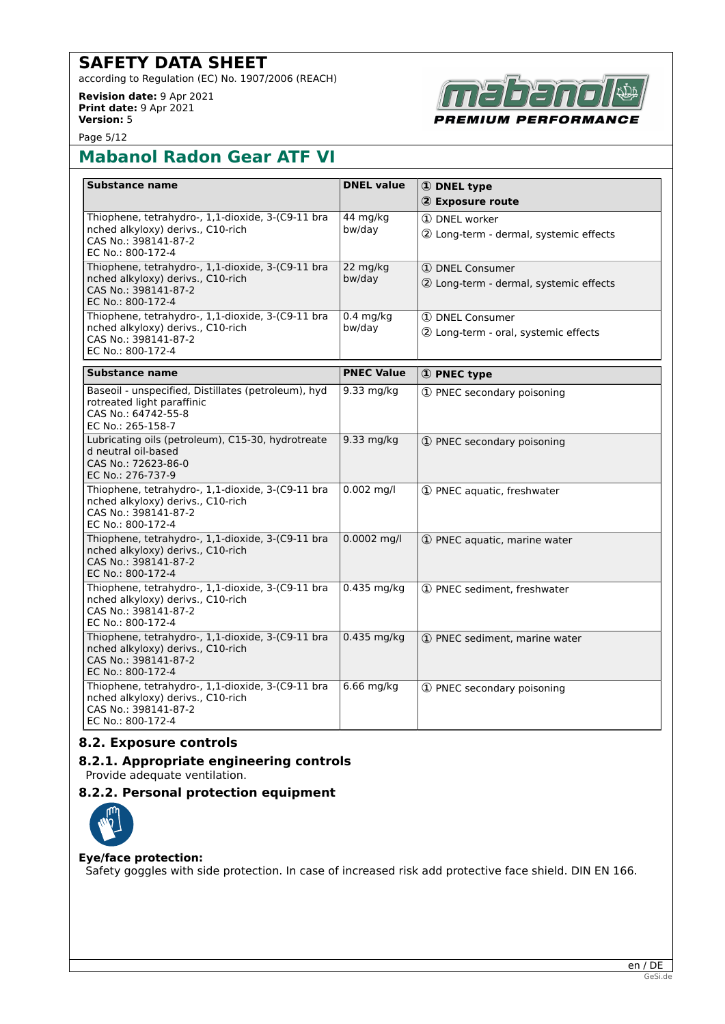according to Regulation (EC) No. 1907/2006 (REACH)

**Revision date:** 9 Apr 2021 **Print date:** 9 Apr 2021 **Version:** 5



Page 5/12

# **Mabanol Radon Gear ATF VI**

| Substance name                                                                                                                      | <b>DNEL value</b>     | 1 DNEL type                                               |
|-------------------------------------------------------------------------------------------------------------------------------------|-----------------------|-----------------------------------------------------------|
|                                                                                                                                     |                       | 2 Exposure route                                          |
| Thiophene, tetrahydro-, 1,1-dioxide, 3-(C9-11 bra<br>nched alkyloxy) derivs., C10-rich<br>CAS No.: 398141-87-2<br>EC No.: 800-172-4 | 44 mg/kg<br>bw/day    | 1 DNEL worker<br>2 Long-term - dermal, systemic effects   |
| Thiophene, tetrahydro-, 1,1-dioxide, 3-(C9-11 bra<br>nched alkyloxy) derivs., C10-rich<br>CAS No.: 398141-87-2<br>EC No.: 800-172-4 | 22 mg/kg<br>bw/day    | 1 DNEL Consumer<br>2 Long-term - dermal, systemic effects |
| Thiophene, tetrahydro-, 1,1-dioxide, 3-(C9-11 bra<br>nched alkyloxy) derivs., C10-rich<br>CAS No.: 398141-87-2<br>EC No.: 800-172-4 | $0.4$ mg/kg<br>bw/dav | 1 DNEL Consumer<br>2 Long-term - oral, systemic effects   |
| <b>Substance name</b>                                                                                                               | <b>PNEC Value</b>     | 1 PNEC type                                               |
| Baseoil - unspecified, Distillates (petroleum), hyd<br>rotreated light paraffinic<br>CAS No.: 64742-55-8<br>EC No.: 265-158-7       | 9.33 mg/kg            | 1 PNEC secondary poisoning                                |
| Lubricating oils (petroleum), C15-30, hydrotreate<br>d neutral oil-based<br>CAS No.: 72623-86-0<br>EC No.: 276-737-9                | $9.33$ mg/kg          | 1 PNEC secondary poisoning                                |
| Thiophene, tetrahydro-, 1,1-dioxide, 3-(C9-11 bra<br>nched alkyloxy) derivs., C10-rich<br>CAS No.: 398141-87-2<br>EC No.: 800-172-4 | $0.002$ mg/l          | 1 PNEC aquatic, freshwater                                |
| Thiophene, tetrahydro-, 1,1-dioxide, 3-(C9-11 bra<br>nched alkyloxy) derivs., C10-rich<br>CAS No.: 398141-87-2<br>EC No.: 800-172-4 | $0.0002$ mg/l         | 1 PNEC aquatic, marine water                              |
| Thiophene, tetrahydro-, 1,1-dioxide, 3-(C9-11 bra<br>nched alkyloxy) derivs., C10-rich<br>CAS No.: 398141-87-2<br>EC No.: 800-172-4 | $0.435$ mg/kg         | 1 PNEC sediment, freshwater                               |
| Thiophene, tetrahydro-, 1,1-dioxide, 3-(C9-11 bra<br>nched alkyloxy) derivs., C10-rich<br>CAS No.: 398141-87-2<br>EC No.: 800-172-4 | $0.435$ mg/kg         | 1 PNEC sediment, marine water                             |
| Thiophene, tetrahydro-, 1,1-dioxide, 3-(C9-11 bra<br>nched alkyloxy) derivs., C10-rich<br>CAS No.: 398141-87-2<br>EC No.: 800-172-4 | $6.66$ mg/kg          | 1 PNEC secondary poisoning                                |

## **8.2. Exposure controls**

## **8.2.1. Appropriate engineering controls** Provide adequate ventilation.

## **8.2.2. Personal protection equipment**



#### **Eye/face protection:**

Safety goggles with side protection. In case of increased risk add protective face shield. DIN EN 166.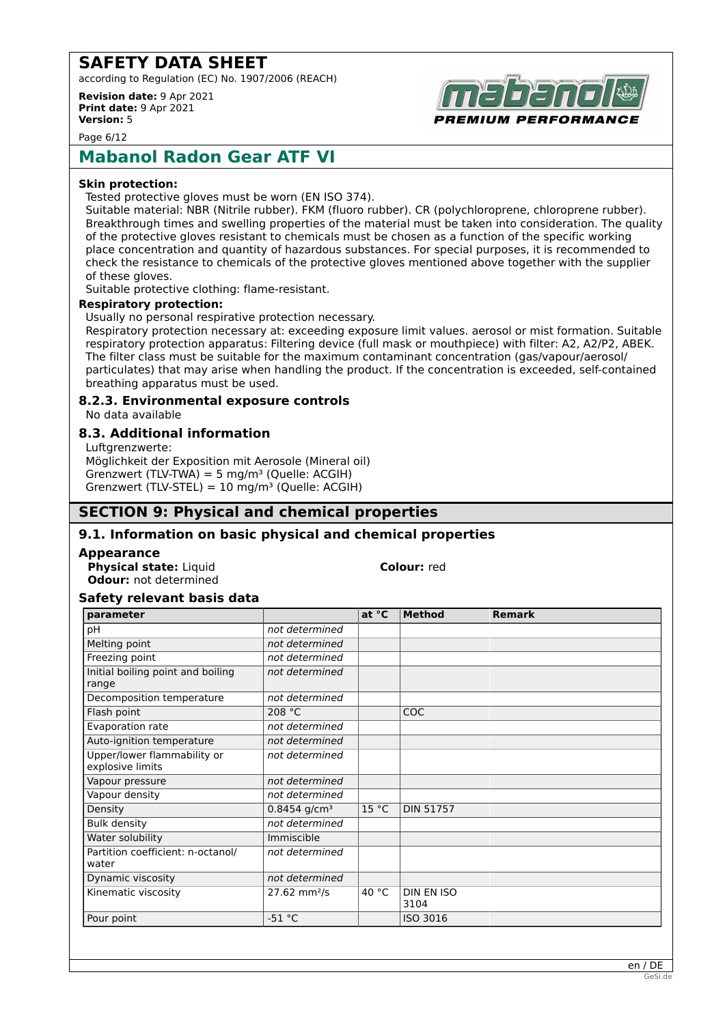according to Regulation (EC) No. 1907/2006 (REACH)

**Revision date:** 9 Apr 2021 **Print date:** 9 Apr 2021 **Version:** 5



Page 6/12

## **Mabanol Radon Gear ATF VI**

#### **Skin protection:**

Tested protective gloves must be worn (EN ISO 374).

Suitable material: NBR (Nitrile rubber). FKM (fluoro rubber). CR (polychloroprene, chloroprene rubber). Breakthrough times and swelling properties of the material must be taken into consideration. The quality of the protective gloves resistant to chemicals must be chosen as a function of the specific working place concentration and quantity of hazardous substances. For special purposes, it is recommended to check the resistance to chemicals of the protective gloves mentioned above together with the supplier of these gloves.

Suitable protective clothing: flame-resistant.

#### **Respiratory protection:**

Usually no personal respirative protection necessary.

Respiratory protection necessary at: exceeding exposure limit values. aerosol or mist formation. Suitable respiratory protection apparatus: Filtering device (full mask or mouthpiece) with filter: A2, A2/P2, ABEK. The filter class must be suitable for the maximum contaminant concentration (gas/vapour/aerosol/ particulates) that may arise when handling the product. If the concentration is exceeded, self-contained breathing apparatus must be used.

## **8.2.3. Environmental exposure controls**

No data available

## **8.3. Additional information**

Luftgrenzwerte: Möglichkeit der Exposition mit Aerosole (Mineral oil) Grenzwert (TLV-TWA) = 5 mg/m<sup>3</sup> (Quelle: ACGIH) Grenzwert (TLV-STEL) =  $10 \text{ mg/m}^3$  (Quelle: ACGIH)

## **SECTION 9: Physical and chemical properties**

## **9.1. Information on basic physical and chemical properties**

#### **Appearance**

**Physical state:** Liquid **Colour:** red **Odour:** not determined

## **Safety relevant basis data**

| parameter                                       |                            | at °C           | <b>Method</b>             | <b>Remark</b> |
|-------------------------------------------------|----------------------------|-----------------|---------------------------|---------------|
| рH                                              | not determined             |                 |                           |               |
| Melting point                                   | not determined             |                 |                           |               |
| Freezing point                                  | not determined             |                 |                           |               |
| Initial boiling point and boiling<br>range      | not determined             |                 |                           |               |
| Decomposition temperature                       | not determined             |                 |                           |               |
| Flash point                                     | 208 °C                     |                 | COC.                      |               |
| Evaporation rate                                | not determined             |                 |                           |               |
| Auto-ignition temperature                       | not determined             |                 |                           |               |
| Upper/lower flammability or<br>explosive limits | not determined             |                 |                           |               |
| Vapour pressure                                 | not determined             |                 |                           |               |
| Vapour density                                  | not determined             |                 |                           |               |
| Density                                         | $0.8454$ g/cm <sup>3</sup> | 15 °C           | <b>DIN 51757</b>          |               |
| <b>Bulk density</b>                             | not determined             |                 |                           |               |
| Water solubility                                | Immiscible                 |                 |                           |               |
| Partition coefficient: n-octanol/<br>water      | not determined             |                 |                           |               |
| Dynamic viscosity                               | not determined             |                 |                           |               |
| Kinematic viscosity                             | $27.62$ mm <sup>2</sup> /s | 40 $^{\circ}$ C | <b>DIN EN ISO</b><br>3104 |               |
| Pour point                                      | $-51 °C$                   |                 | ISO 3016                  |               |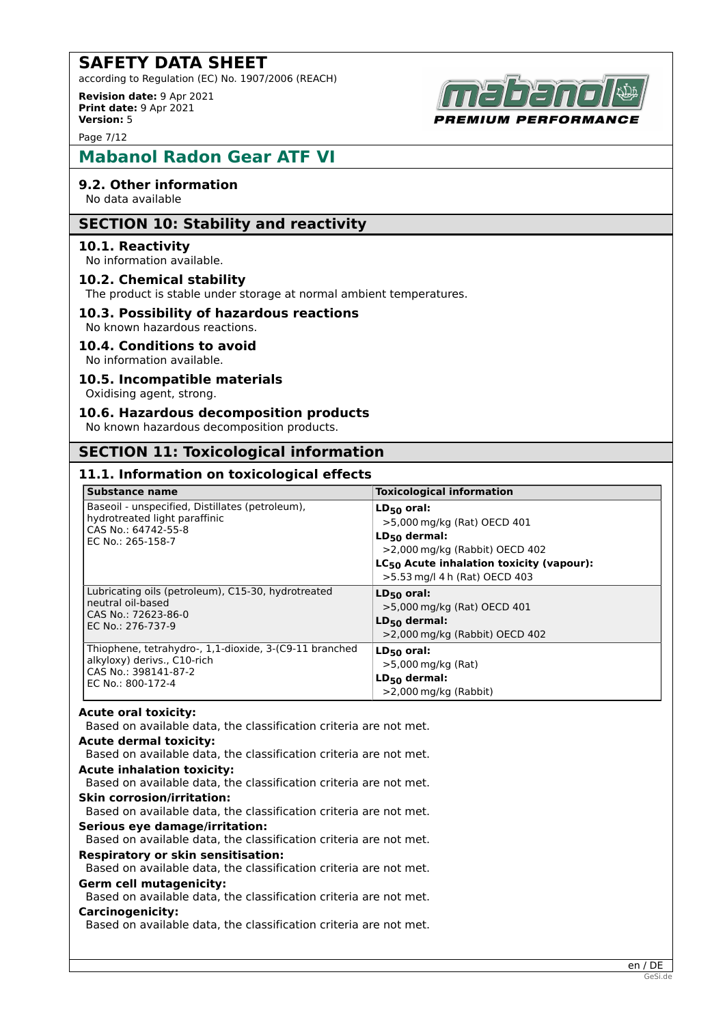according to Regulation (EC) No. 1907/2006 (REACH)

**Revision date:** 9 Apr 2021 **Print date:** 9 Apr 2021 **Version:** 5

Page 7/12

# **Mabanol Radon Gear ATF VI**

## **9.2. Other information**

No data available

## **SECTION 10: Stability and reactivity**

## **10.1. Reactivity**

No information available.

## **10.2. Chemical stability**

The product is stable under storage at normal ambient temperatures.

## **10.3. Possibility of hazardous reactions**

No known hazardous reactions.

#### **10.4. Conditions to avoid**

No information available.

## **10.5. Incompatible materials**

Oxidising agent, strong.

#### **10.6. Hazardous decomposition products**

No known hazardous decomposition products.

## **SECTION 11: Toxicological information**

## **11.1. Information on toxicological effects**

| <b>Substance name</b>                                                                                                        | <b>Toxicological information</b>                                                                                                                                                           |
|------------------------------------------------------------------------------------------------------------------------------|--------------------------------------------------------------------------------------------------------------------------------------------------------------------------------------------|
| Baseoil - unspecified, Distillates (petroleum),<br>hydrotreated light paraffinic<br>CAS No.: 64742-55-8<br>EC No.: 265-158-7 | $LD_{50}$ oral:<br>>5,000 mg/kg (Rat) OECD 401<br>$LD_{50}$ dermal:<br>$>$ 2,000 mg/kg (Rabbit) OECD 402<br>$LC_{50}$ Acute inhalation toxicity (vapour):<br>>5.53 mg/l 4 h (Rat) OECD 403 |
| Lubricating oils (petroleum), C15-30, hydrotreated                                                                           | $LD_{50}$ oral:                                                                                                                                                                            |
| neutral oil-based                                                                                                            | $>5,000$ mg/kg (Rat) OECD 401                                                                                                                                                              |
| CAS No.: 72623-86-0                                                                                                          | $LD_{50}$ dermal:                                                                                                                                                                          |
| EC No.: 276-737-9                                                                                                            | $>$ 2,000 mg/kg (Rabbit) OECD 402                                                                                                                                                          |
| Thiophene, tetrahydro-, 1,1-dioxide, 3-(C9-11 branched                                                                       | $LD_{50}$ oral:                                                                                                                                                                            |
| alkyloxy) derivs., C10-rich                                                                                                  | >5,000 mg/kg (Rat)                                                                                                                                                                         |
| CAS No.: 398141-87-2                                                                                                         | $LD_{50}$ dermal:                                                                                                                                                                          |
| EC No.: 800-172-4                                                                                                            | $>$ 2,000 mg/kg (Rabbit)                                                                                                                                                                   |

#### **Acute oral toxicity:**

Based on available data, the classification criteria are not met.

#### **Acute dermal toxicity:**

Based on available data, the classification criteria are not met. **Acute inhalation toxicity:**

Based on available data, the classification criteria are not met.

#### **Skin corrosion/irritation:**

Based on available data, the classification criteria are not met.

#### **Serious eye damage/irritation:**

Based on available data, the classification criteria are not met.

#### **Respiratory or skin sensitisation:**

Based on available data, the classification criteria are not met.

## **Germ cell mutagenicity:**

Based on available data, the classification criteria are not met.

## **Carcinogenicity:**

Based on available data, the classification criteria are not met.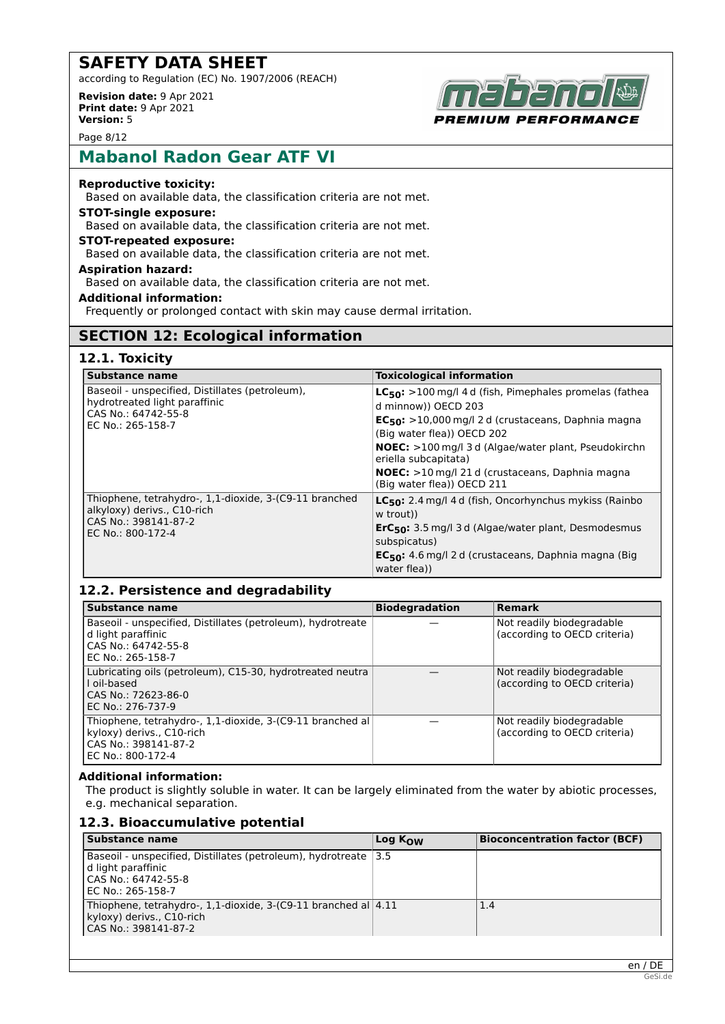according to Regulation (EC) No. 1907/2006 (REACH)

**Revision date:** 9 Apr 2021 **Print date:** 9 Apr 2021 **Version:** 5



Page 8/12

## **Mabanol Radon Gear ATF VI**

## **Reproductive toxicity:**

Based on available data, the classification criteria are not met.

## **STOT-single exposure:**

Based on available data, the classification criteria are not met.

## **STOT-repeated exposure:**

Based on available data, the classification criteria are not met.

#### **Aspiration hazard:**

Based on available data, the classification criteria are not met.

## **Additional information:**

Frequently or prolonged contact with skin may cause dermal irritation.

## **SECTION 12: Ecological information**

## **12.1. Toxicity**

| <b>Substance name</b>                                                                                                              | <b>Toxicological information</b>                                                                                                                                                                                                                                                                                                                             |
|------------------------------------------------------------------------------------------------------------------------------------|--------------------------------------------------------------------------------------------------------------------------------------------------------------------------------------------------------------------------------------------------------------------------------------------------------------------------------------------------------------|
| Baseoil - unspecified, Distillates (petroleum),<br>hydrotreated light paraffinic<br>CAS No.: 64742-55-8<br>EC No.: 265-158-7       | $LC_{50}$ : >100 mg/l 4 d (fish, Pimephales promelas (fathea<br>d minnow)) OECD 203<br>$EC_{50}$ : >10,000 mg/l 2 d (crustaceans, Daphnia magna<br>(Big water flea)) OECD 202<br><b>NOEC:</b> >100 mg/l 3 d (Algae/water plant, Pseudokirchn<br>eriella subcapitata)<br><b>NOEC:</b> >10 mg/l 21 d (crustaceans, Daphnia magna<br>(Big water flea)) OECD 211 |
| Thiophene, tetrahydro-, 1,1-dioxide, 3-(C9-11 branched<br>alkyloxy) derivs., C10-rich<br>CAS No.: 398141-87-2<br>EC No.: 800-172-4 | LC <sub>50</sub> : 2.4 mg/l 4 d (fish, Oncorhynchus mykiss (Rainbo<br>w trout))<br>ErC <sub>50</sub> : 3.5 mg/l 3 d (Algae/water plant, Desmodesmus<br>subspicatus)<br>EC <sub>50</sub> : 4.6 mg/l 2 d (crustaceans, Daphnia magna (Big<br>water flea))                                                                                                      |

## **12.2. Persistence and degradability**

| Substance name                                                                                                                      | <b>Biodegradation</b> | Remark                                                    |
|-------------------------------------------------------------------------------------------------------------------------------------|-----------------------|-----------------------------------------------------------|
| Baseoil - unspecified, Distillates (petroleum), hydrotreate<br>d light paraffinic<br>CAS No.: 64742-55-8<br>EC No.: 265-158-7       |                       | Not readily biodegradable<br>(according to OECD criteria) |
| Lubricating oils (petroleum), C15-30, hydrotreated neutra<br>Loil-based<br>CAS No.: 72623-86-0<br>EC No.: 276-737-9                 |                       | Not readily biodegradable<br>(according to OECD criteria) |
| Thiophene, tetrahydro-, 1,1-dioxide, 3-(C9-11 branched al<br>kyloxy) derivs., C10-rich<br>CAS No.: 398141-87-2<br>EC No.: 800-172-4 |                       | Not readily biodegradable<br>(according to OECD criteria) |

#### **Additional information:**

The product is slightly soluble in water. It can be largely eliminated from the water by abiotic processes, e.g. mechanical separation.

## **12.3. Bioaccumulative potential**

| <b>Substance name</b>                                                                                                                 | Log K <sub>ow</sub> | <b>Bioconcentration factor (BCF)</b> |
|---------------------------------------------------------------------------------------------------------------------------------------|---------------------|--------------------------------------|
| Baseoil - unspecified, Distillates (petroleum), hydrotreate   3.5<br>l d light paraffinic<br>CAS No.: 64742-55-8<br>EC No.: 265-158-7 |                     |                                      |
| Thiophene, tetrahydro-, 1,1-dioxide, 3-(C9-11 branched al $ 4.11$<br>kyloxy) derivs., C10-rich<br> CAS No.: 398141-87-2               |                     | 1.4                                  |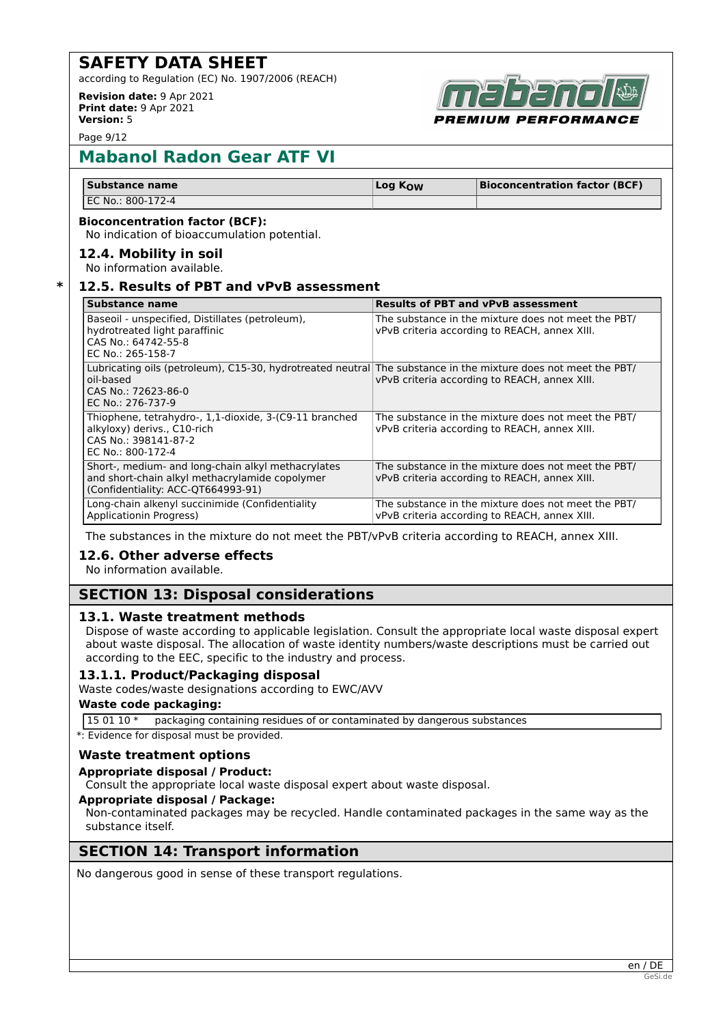according to Regulation (EC) No. 1907/2006 (REACH)

**Revision date:** 9 Apr 2021 **Print date:** 9 Apr 2021 **Version:** 5



Page 9/12

# **Mabanol Radon Gear ATF VI**

| Substance name    | Log K <sub>OW</sub> | <b>Bioconcentration factor (BCF)</b> |
|-------------------|---------------------|--------------------------------------|
| EC No.: 800-172-4 |                     |                                      |

#### **Bioconcentration factor (BCF):**

No indication of bioaccumulation potential.

## **12.4. Mobility in soil**

No information available.

## **\* 12.5. Results of PBT and vPvB assessment**

| Substance name                                                                                                                                                          | <b>Results of PBT and vPvB assessment</b>                                                            |
|-------------------------------------------------------------------------------------------------------------------------------------------------------------------------|------------------------------------------------------------------------------------------------------|
| Baseoil - unspecified, Distillates (petroleum),<br>hydrotreated light paraffinic<br>CAS No.: 64742-55-8<br>EC No.: 265-158-7                                            | The substance in the mixture does not meet the PBT/<br>vPvB criteria according to REACH, annex XIII. |
| Lubricating oils (petroleum), C15-30, hydrotreated neutral The substance in the mixture does not meet the PBT/<br>oil-based<br>CAS No.: 72623-86-0<br>EC No.: 276-737-9 | vPvB criteria according to REACH, annex XIII.                                                        |
| Thiophene, tetrahydro-, 1,1-dioxide, 3-(C9-11 branched<br>alkyloxy) derivs., C10-rich<br>CAS No.: 398141-87-2<br>EC No.: 800-172-4                                      | The substance in the mixture does not meet the PBT/<br>vPvB criteria according to REACH, annex XIII. |
| Short-, medium- and long-chain alkyl methacrylates<br>and short-chain alkyl methacrylamide copolymer<br>(Confidentiality: ACC-QT664993-91)                              | The substance in the mixture does not meet the PBT/<br>vPvB criteria according to REACH, annex XIII. |
| Long-chain alkenyl succinimide (Confidentiality<br>Applicationin Progress)                                                                                              | The substance in the mixture does not meet the PBT/<br>vPvB criteria according to REACH, annex XIII. |

The substances in the mixture do not meet the PBT/vPvB criteria according to REACH, annex XIII.

## **12.6. Other adverse effects**

No information available.

## **SECTION 13: Disposal considerations**

## **13.1. Waste treatment methods**

Dispose of waste according to applicable legislation. Consult the appropriate local waste disposal expert about waste disposal. The allocation of waste identity numbers/waste descriptions must be carried out according to the EEC, specific to the industry and process.

## **13.1.1. Product/Packaging disposal**

Waste codes/waste designations according to EWC/AVV

## **Waste code packaging:**

15 01 10 \* packaging containing residues of or contaminated by dangerous substances

\*: Evidence for disposal must be provided.

## **Waste treatment options**

#### **Appropriate disposal / Product:**

Consult the appropriate local waste disposal expert about waste disposal.

#### **Appropriate disposal / Package:**

Non-contaminated packages may be recycled. Handle contaminated packages in the same way as the substance itself.

## **SECTION 14: Transport information**

No dangerous good in sense of these transport regulations.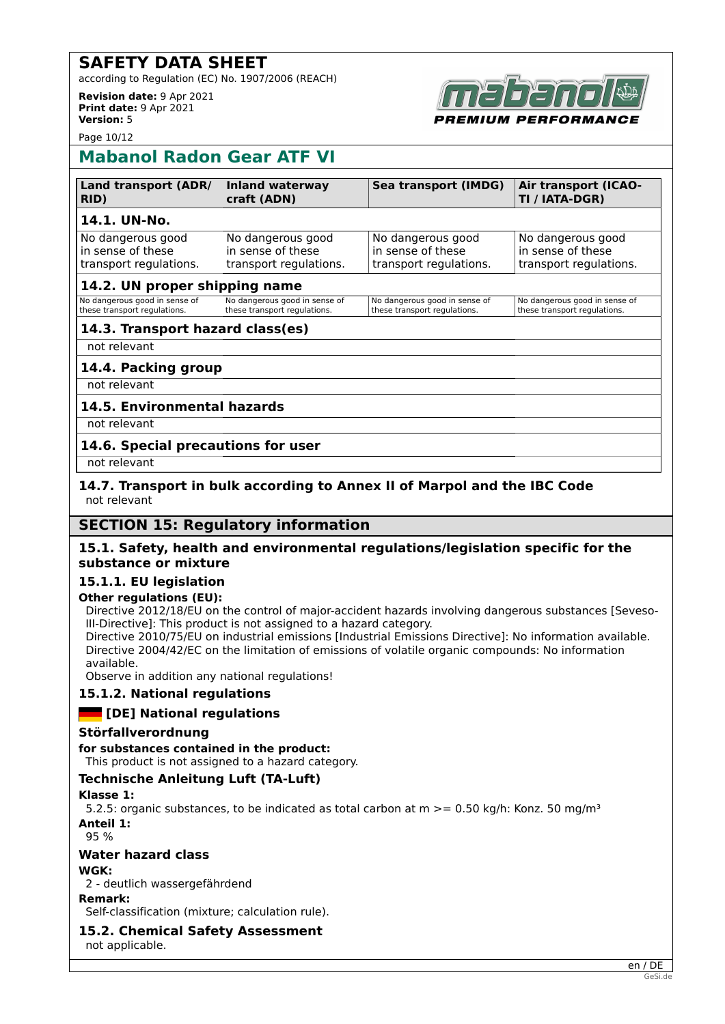according to Regulation (EC) No. 1907/2006 (REACH)

**Revision date:** 9 Apr 2021 **Print date:** 9 Apr 2021 **Version:** 5

*MIUM PERFORMANCE* 

Page 10/12

## **Mabanol Radon Gear ATF VI**

| <b>Land transport (ADR/</b> | <b>Inland waterway</b> | <b>Sea transport (IMDG)</b> | <b>Air transport (ICAO-</b> |
|-----------------------------|------------------------|-----------------------------|-----------------------------|
| RID)                        | craft (ADN)            |                             | TI / IATA-DGR)              |
| 14.1. UN-No.                |                        |                             |                             |
| No dangerous good           | No dangerous good      | No dangerous good           | No dangerous good           |
| In sense of these           | in sense of these      | in sense of these           | in sense of these           |
| transport regulations.      | transport regulations. | transport regulations.      | transport regulations.      |

## **14.2. UN proper shipping name**

| No dangerous good in sense of | No dangerous good in sense of | No dangerous good in sense of | No dangerous good in sense of |
|-------------------------------|-------------------------------|-------------------------------|-------------------------------|
| these transport regulations.  | these transport regulations.  | these transport regulations.  | these transport regulations.  |
|                               |                               |                               |                               |

## **14.3. Transport hazard class(es)**

not relevant

## **14.4. Packing group**

not relevant

## **14.5. Environmental hazards**

not relevant

## **14.6. Special precautions for user**

not relevant

## **14.7. Transport in bulk according to Annex II of Marpol and the IBC Code** not relevant

## **SECTION 15: Regulatory information**

## **15.1. Safety, health and environmental regulations/legislation specific for the substance or mixture**

## **15.1.1. EU legislation**

## **Other regulations (EU):**

Directive 2012/18/EU on the control of major-accident hazards involving dangerous substances [Seveso-III-Directive]: This product is not assigned to a hazard category.

Directive 2010/75/EU on industrial emissions [Industrial Emissions Directive]: No information available. Directive 2004/42/EC on the limitation of emissions of volatile organic compounds: No information available.

Observe in addition any national regulations!

## **15.1.2. National regulations**

## **Example 2 I** [DE] National regulations

## **Störfallverordnung**

**for substances contained in the product:**

This product is not assigned to a hazard category.

## **Technische Anleitung Luft (TA-Luft)**

#### **Klasse 1:**

5.2.5: organic substances, to be indicated as total carbon at  $m \ge 0.50$  kg/h: Konz. 50 mg/m<sup>3</sup> **Anteil 1:**

95 %

## **Water hazard class**

## **WGK:**

2 - deutlich wassergefährdend

## **Remark:**

Self-classification (mixture; calculation rule).

## **15.2. Chemical Safety Assessment**

not applicable.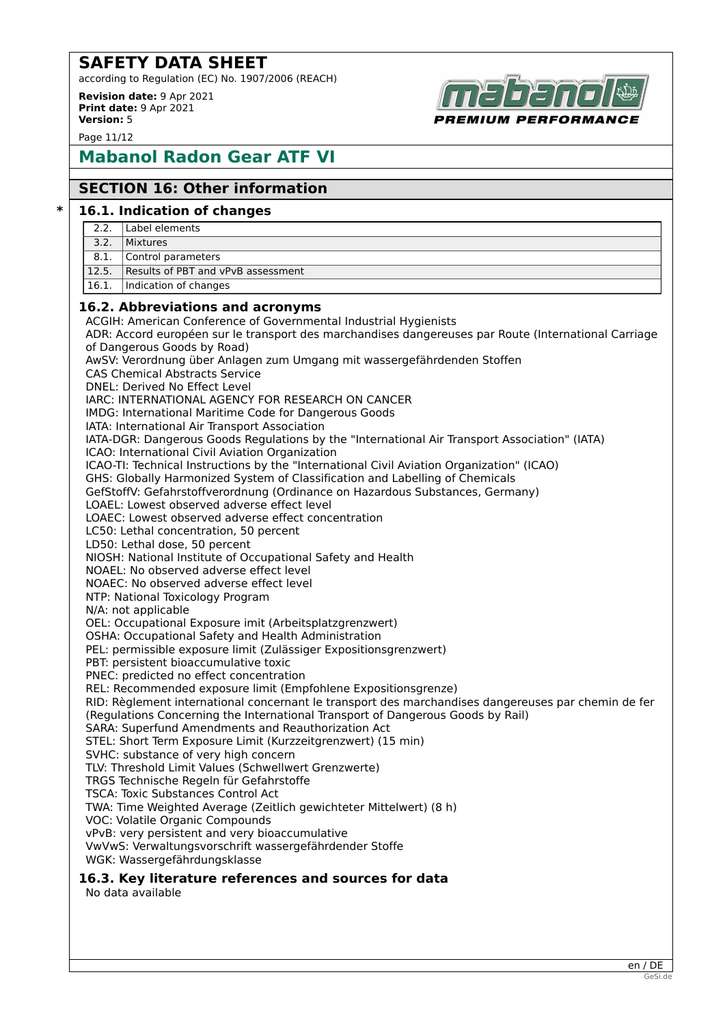according to Regulation (EC) No. 1907/2006 (REACH)

**Revision date:** 9 Apr 2021 **Print date:** 9 Apr 2021 **Version:** 5

Page 11/12

# **Mabanol Radon Gear ATF VI**

## **SECTION 16: Other information**

## **\* 16.1. Indication of changes**

- 2.2. Label elements
- 3.2. Mixtures
- 8.1. Control parameters
- 12.5. Results of PBT and vPvB assessment
- 16.1. Indication of changes

## **16.2. Abbreviations and acronyms**

ACGIH: American Conference of Governmental Industrial Hygienists ADR: Accord européen sur le transport des marchandises dangereuses par Route (International Carriage of Dangerous Goods by Road) AwSV: Verordnung über Anlagen zum Umgang mit wassergefährdenden Stoffen CAS Chemical Abstracts Service DNEL: Derived No Effect Level IARC: INTERNATIONAL AGENCY FOR RESEARCH ON CANCER IMDG: International Maritime Code for Dangerous Goods IATA: International Air Transport Association IATA-DGR: Dangerous Goods Regulations by the "International Air Transport Association" (IATA) ICAO: International Civil Aviation Organization ICAO-TI: Technical Instructions by the "International Civil Aviation Organization" (ICAO) GHS: Globally Harmonized System of Classification and Labelling of Chemicals GefStoffV: Gefahrstoffverordnung (Ordinance on Hazardous Substances, Germany) LOAEL: Lowest observed adverse effect level LOAEC: Lowest observed adverse effect concentration LC50: Lethal concentration, 50 percent LD50: Lethal dose, 50 percent NIOSH: National Institute of Occupational Safety and Health NOAEL: No observed adverse effect level NOAEC: No observed adverse effect level NTP: National Toxicology Program N/A: not applicable OEL: Occupational Exposure imit (Arbeitsplatzgrenzwert) OSHA: Occupational Safety and Health Administration PEL: permissible exposure limit (Zulässiger Expositionsgrenzwert) PBT: persistent bioaccumulative toxic PNEC: predicted no effect concentration REL: Recommended exposure limit (Empfohlene Expositionsgrenze) RID: Règlement international concernant le transport des marchandises dangereuses par chemin de fer (Regulations Concerning the International Transport of Dangerous Goods by Rail) SARA: Superfund Amendments and Reauthorization Act STEL: Short Term Exposure Limit (Kurzzeitgrenzwert) (15 min) SVHC: substance of very high concern TLV: Threshold Limit Values (Schwellwert Grenzwerte) TRGS Technische Regeln für Gefahrstoffe TSCA: Toxic Substances Control Act TWA: Time Weighted Average (Zeitlich gewichteter Mittelwert) (8 h) VOC: Volatile Organic Compounds vPvB: very persistent and very bioaccumulative VwVwS: Verwaltungsvorschrift wassergefährdender Stoffe WGK: Wassergefährdungsklasse **16.3. Key literature references and sources for data** No data available